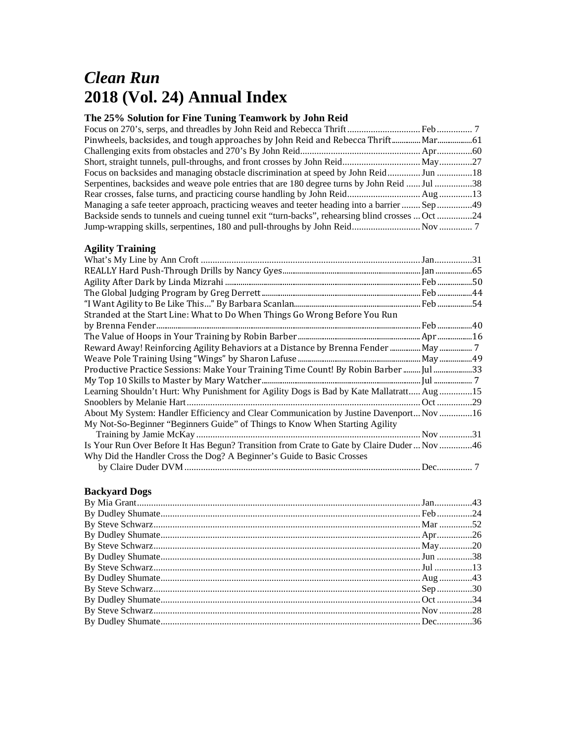# *Clean Run*  **2018 (Vol. 24) Annual Index**

## **The 25% Solution for Fine Tuning Teamwork by John Reid**

| Focus on backsides and managing obstacle discrimination at speed by John Reid Jun 18            |  |
|-------------------------------------------------------------------------------------------------|--|
| Serpentines, backsides and weave pole entries that are 180 degree turns by John Reid  Jul 38    |  |
|                                                                                                 |  |
| Managing a safe teeter approach, practicing weaves and teeter heading into a barrier  Sep 49    |  |
| Backside sends to tunnels and cueing tunnel exit "turn-backs", rehearsing blind crosses  Oct 24 |  |
|                                                                                                 |  |
|                                                                                                 |  |

### **Agility Training**

| Stranded at the Start Line: What to Do When Things Go Wrong Before You Run                  |  |
|---------------------------------------------------------------------------------------------|--|
|                                                                                             |  |
|                                                                                             |  |
|                                                                                             |  |
|                                                                                             |  |
| Productive Practice Sessions: Make Your Training Time Count! By Robin Barber  Jul 33        |  |
|                                                                                             |  |
| Learning Shouldn't Hurt: Why Punishment for Agility Dogs is Bad by Kate Mallatratt Aug15    |  |
|                                                                                             |  |
| About My System: Handler Efficiency and Clear Communication by Justine Davenport Nov16      |  |
| My Not-So-Beginner "Beginners Guide" of Things to Know When Starting Agility                |  |
|                                                                                             |  |
| Is Your Run Over Before It Has Begun? Transition from Crate to Gate by Claire Duder  Nov 46 |  |
| Why Did the Handler Cross the Dog? A Beginner's Guide to Basic Crosses                      |  |
|                                                                                             |  |
|                                                                                             |  |

## **Backyard Dogs**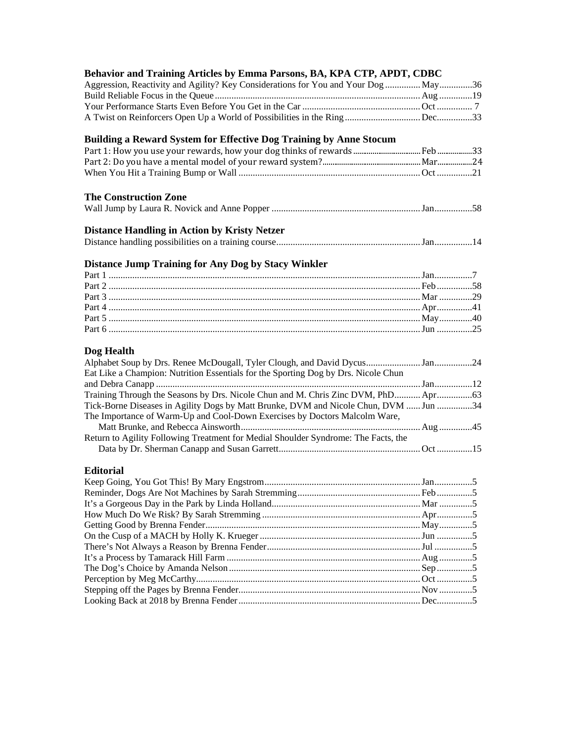| Behavior and Training Articles by Emma Parsons, BA, KPA CTP, APDT, CDBC                                                                                      |  |
|--------------------------------------------------------------------------------------------------------------------------------------------------------------|--|
| Aggression, Reactivity and Agility? Key Considerations for You and Your Dog  May 36                                                                          |  |
|                                                                                                                                                              |  |
|                                                                                                                                                              |  |
|                                                                                                                                                              |  |
| Building a Reward System for Effective Dog Training by Anne Stocum                                                                                           |  |
|                                                                                                                                                              |  |
|                                                                                                                                                              |  |
|                                                                                                                                                              |  |
| <b>The Construction Zone</b>                                                                                                                                 |  |
|                                                                                                                                                              |  |
| <b>Distance Handling in Action by Kristy Netzer</b>                                                                                                          |  |
|                                                                                                                                                              |  |
| Distance Jump Training for Any Dog by Stacy Winkler                                                                                                          |  |
|                                                                                                                                                              |  |
|                                                                                                                                                              |  |
|                                                                                                                                                              |  |
|                                                                                                                                                              |  |
|                                                                                                                                                              |  |
|                                                                                                                                                              |  |
| Dog Health                                                                                                                                                   |  |
| Alphabet Soup by Drs. Renee McDougall, Tyler Clough, and David Dycus24<br>Eat Like a Champion: Nutrition Essentials for the Sporting Dog by Drs. Nicole Chun |  |
|                                                                                                                                                              |  |
|                                                                                                                                                              |  |
| Tick-Borne Diseases in Agility Dogs by Matt Brunke, DVM and Nicole Chun, DVM  Jun 34                                                                         |  |
| The Importance of Warm-Up and Cool-Down Exercises by Doctors Malcolm Ware,                                                                                   |  |
|                                                                                                                                                              |  |
| Return to Agility Following Treatment for Medial Shoulder Syndrome: The Facts, the                                                                           |  |
|                                                                                                                                                              |  |
| <b>Editorial</b>                                                                                                                                             |  |
|                                                                                                                                                              |  |
|                                                                                                                                                              |  |
|                                                                                                                                                              |  |
|                                                                                                                                                              |  |
|                                                                                                                                                              |  |
|                                                                                                                                                              |  |
|                                                                                                                                                              |  |
|                                                                                                                                                              |  |
|                                                                                                                                                              |  |
|                                                                                                                                                              |  |
|                                                                                                                                                              |  |
|                                                                                                                                                              |  |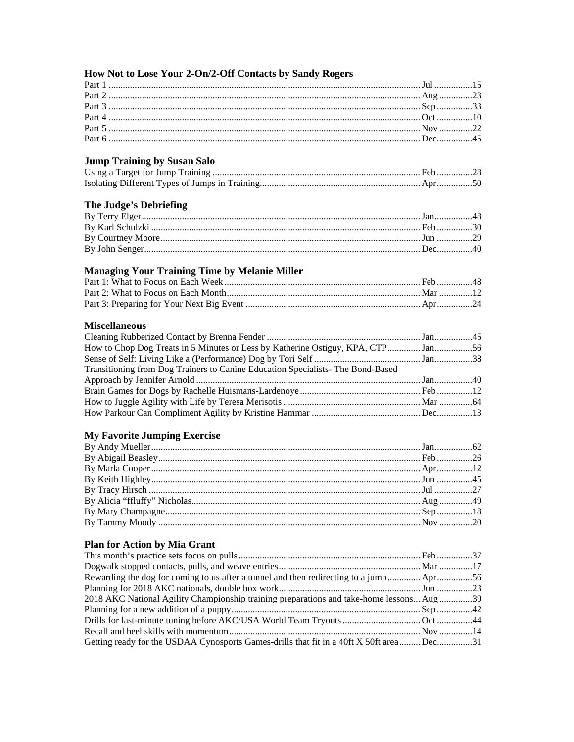| How Not to Lose Your 2-On/2-Off Contacts by Sandy Rogers                                 |  |
|------------------------------------------------------------------------------------------|--|
|                                                                                          |  |
|                                                                                          |  |
|                                                                                          |  |
|                                                                                          |  |
|                                                                                          |  |
|                                                                                          |  |
| <b>Jump Training by Susan Salo</b>                                                       |  |
|                                                                                          |  |
|                                                                                          |  |
| The Judge's Debriefing                                                                   |  |
|                                                                                          |  |
|                                                                                          |  |
|                                                                                          |  |
|                                                                                          |  |
| <b>Managing Your Training Time by Melanie Miller</b>                                     |  |
|                                                                                          |  |
|                                                                                          |  |
|                                                                                          |  |
| <b>Miscellaneous</b>                                                                     |  |
|                                                                                          |  |
| How to Chop Dog Treats in 5 Minutes or Less by Katherine Ostiguy, KPA, CTP Jan56         |  |
|                                                                                          |  |
| Transitioning from Dog Trainers to Canine Education Specialists- The Bond-Based          |  |
|                                                                                          |  |
|                                                                                          |  |
|                                                                                          |  |
|                                                                                          |  |
| <b>My Favorite Jumping Exercise</b>                                                      |  |
|                                                                                          |  |
|                                                                                          |  |
|                                                                                          |  |
|                                                                                          |  |
|                                                                                          |  |
|                                                                                          |  |
|                                                                                          |  |
|                                                                                          |  |
| <b>Plan for Action by Mia Grant</b>                                                      |  |
|                                                                                          |  |
|                                                                                          |  |
| Rewarding the dog for coming to us after a tunnel and then redirecting to a jump Apr56   |  |
|                                                                                          |  |
| 2018 AKC National Agility Championship training preparations and take-home lessons Aug39 |  |
|                                                                                          |  |
|                                                                                          |  |
|                                                                                          |  |
| Getting ready for the USDAA Cynosports Games-drills that fit in a 40ft X 50ft areaDec31  |  |
|                                                                                          |  |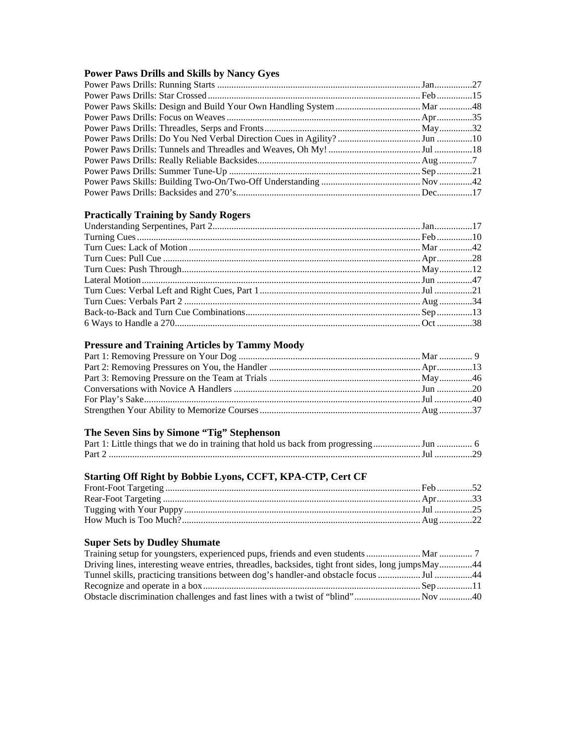## **Power Paws Drills and Skills by Nancy Gyes**

## **Practically Training by Sandy Rogers**

## **Pressure and Training Articles by Tammy Moody**

## **The Seven Sins by Simone "Tig" Stephenson**

## **Starting Off Right by Bobbie Lyons, CCFT, KPA-CTP, Cert CF**

### **Super Sets by Dudley Shumate**

| Driving lines, interesting weave entries, threadles, backsides, tight front sides, long jumps May44 |  |
|-----------------------------------------------------------------------------------------------------|--|
|                                                                                                     |  |
|                                                                                                     |  |
|                                                                                                     |  |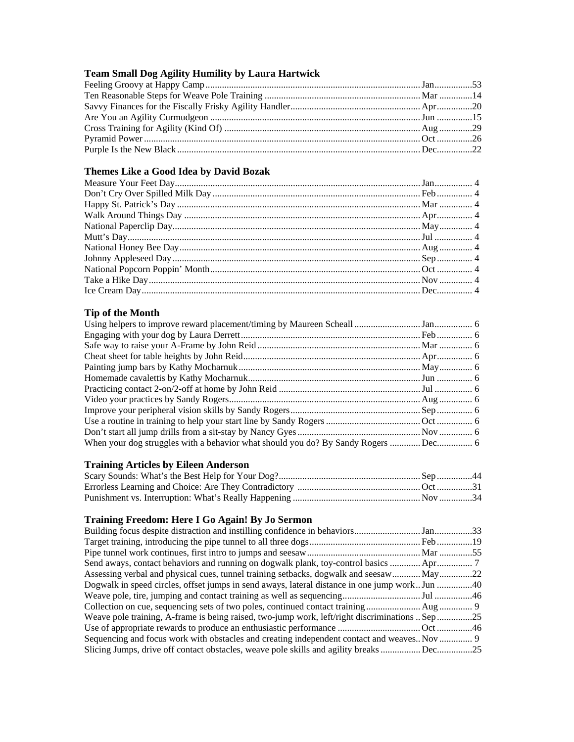## **Team Small Dog Agility Humility by Laura Hartwick**

## **Themes Like a Good Idea by David Bozak**

### **Tip of the Month**

## **Training Articles by Eileen Anderson**

## **Training Freedom: Here I Go Again! By Jo Sermon**

| Assessing verbal and physical cues, tunnel training setbacks, dogwalk and seesaw May22          |  |
|-------------------------------------------------------------------------------------------------|--|
| Dogwalk in speed circles, offset jumps in send aways, lateral distance in one jump work. Jun 40 |  |
|                                                                                                 |  |
|                                                                                                 |  |
| Weave pole training, A-frame is being raised, two-jump work, left/right discriminations  Sep 25 |  |
|                                                                                                 |  |
| Sequencing and focus work with obstacles and creating independent contact and weaves Nov  9     |  |
|                                                                                                 |  |